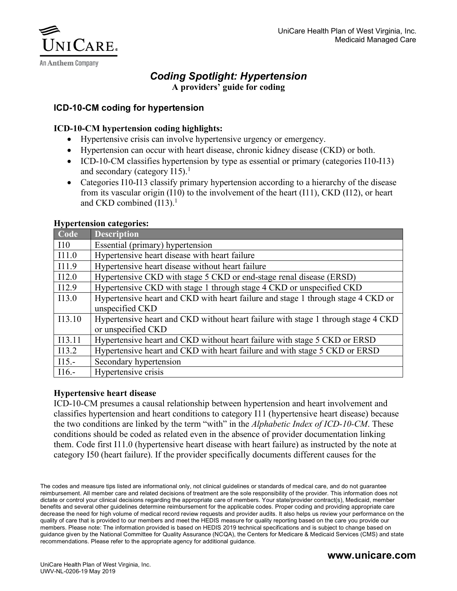

## *Coding Spotlight: Hypertension* **A providers' guide for coding**

## **ICD-10-CM coding for hypertension**

## **ICD-10-CM hypertension coding highlights:**

- Hypertensive crisis can involve hypertensive urgency or emergency.
- Hypertension can occur with heart disease, chronic kidney disease (CKD) or both.
- ICD-10-CM classifies hypertension by type as essential or primary (categories I10-I13) and secondary (category  $I15$ ).<sup>1</sup>
- Categories I10-I13 classify primary hypertension according to a hierarchy of the disease from its vascular origin (I10) to the involvement of the heart (I11), CKD (I12), or heart and CKD combined  $(113).<sup>1</sup>$

#### **Hypertension categories:**

| Code     | <b>Description</b>                                                                |
|----------|-----------------------------------------------------------------------------------|
| 110      | Essential (primary) hypertension                                                  |
| I11.0    | Hypertensive heart disease with heart failure                                     |
| I11.9    | Hypertensive heart disease without heart failure                                  |
| I12.0    | Hypertensive CKD with stage 5 CKD or end-stage renal disease (ERSD)               |
| I12.9    | Hypertensive CKD with stage 1 through stage 4 CKD or unspecified CKD              |
| I13.0    | Hypertensive heart and CKD with heart failure and stage 1 through stage 4 CKD or  |
|          | unspecified CKD                                                                   |
| I13.10   | Hypertensive heart and CKD without heart failure with stage 1 through stage 4 CKD |
|          | or unspecified CKD                                                                |
| I13.11   | Hypertensive heart and CKD without heart failure with stage 5 CKD or ERSD         |
| I13.2    | Hypertensive heart and CKD with heart failure and with stage 5 CKD or ERSD        |
| $I15. -$ | Secondary hypertension                                                            |
| $116. -$ | Hypertensive crisis                                                               |

#### **Hypertensive heart disease**

ICD-10-CM presumes a causal relationship between hypertension and heart involvement and classifies hypertension and heart conditions to category I11 (hypertensive heart disease) because the two conditions are linked by the term "with" in the *Alphabetic Index of ICD-10-CM*. These conditions should be coded as related even in the absence of provider documentation linking them. Code first I11.0 (hypertensive heart disease with heart failure) as instructed by the note at category I50 (heart failure). If the provider specifically documents different causes for the

The codes and measure tips listed are informational only, not clinical guidelines or standards of medical care, and do not guarantee reimbursement. All member care and related decisions of treatment are the sole responsibility of the provider. This information does not dictate or control your clinical decisions regarding the appropriate care of members. Your state/provider contract(s), Medicaid, member benefits and several other guidelines determine reimbursement for the applicable codes. Proper coding and providing appropriate care decrease the need for high volume of medical record review requests and provider audits. It also helps us review your performance on the quality of care that is provided to our members and meet the HEDIS measure for quality reporting based on the care you provide our members. Please note: The information provided is based on HEDIS 2019 technical specifications and is subject to change based on guidance given by the National Committee for Quality Assurance (NCQA), the Centers for Medicare & Medicaid Services (CMS) and state recommendations. Please refer to the appropriate agency for additional guidance.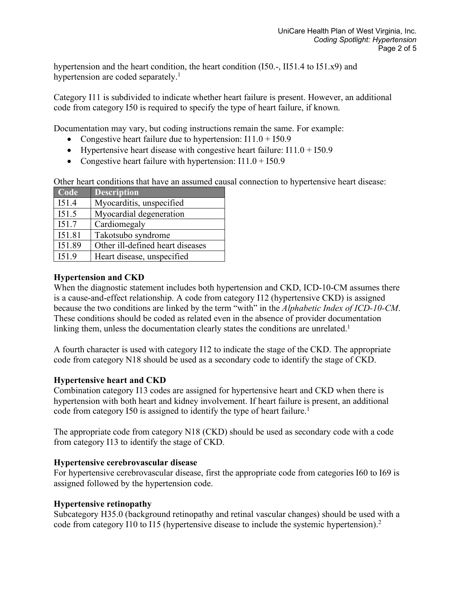hypertension and the heart condition, the heart condition (I50.-, II51.4 to I51.x9) and hypertension are coded separately.<sup>1</sup>

Category I11 is subdivided to indicate whether heart failure is present. However, an additional code from category I50 is required to specify the type of heart failure, if known.

Documentation may vary, but coding instructions remain the same. For example:

- Congestive heart failure due to hypertension:  $I11.0 + I50.9$
- Hypertensive heart disease with congestive heart failure:  $I11.0 + I50.9$
- Congestive heart failure with hypertension:  $I11.0 + I50.9$

Other heart conditions that have an assumed causal connection to hypertensive heart disease:

| $\overline{\text{Code}}$ | <b>Description</b>               |
|--------------------------|----------------------------------|
| I51.4                    | Myocarditis, unspecified         |
| I51.5                    | Myocardial degeneration          |
| I51.7                    | Cardiomegaly                     |
| I51.81                   | Takotsubo syndrome               |
| I51.89                   | Other ill-defined heart diseases |
| I51.9                    | Heart disease, unspecified       |

## **Hypertension and CKD**

When the diagnostic statement includes both hypertension and CKD, ICD-10-CM assumes there is a cause-and-effect relationship. A code from category I12 (hypertensive CKD) is assigned because the two conditions are linked by the term "with" in the *Alphabetic Index of ICD-10-CM*. These conditions should be coded as related even in the absence of provider documentation linking them, unless the documentation clearly states the conditions are unrelated.<sup>1</sup>

A fourth character is used with category I12 to indicate the stage of the CKD. The appropriate code from category N18 should be used as a secondary code to identify the stage of CKD.

# **Hypertensive heart and CKD**

Combination category I13 codes are assigned for hypertensive heart and CKD when there is hypertension with both heart and kidney involvement. If heart failure is present, an additional code from category I50 is assigned to identify the type of heart failure.<sup>1</sup>

The appropriate code from category N18 (CKD) should be used as secondary code with a code from category I13 to identify the stage of CKD.

## **Hypertensive cerebrovascular disease**

For hypertensive cerebrovascular disease, first the appropriate code from categories I60 to I69 is assigned followed by the hypertension code.

## **Hypertensive retinopathy**

Subcategory H35.0 (background retinopathy and retinal vascular changes) should be used with a code from category I10 to I15 (hypertensive disease to include the systemic hypertension).2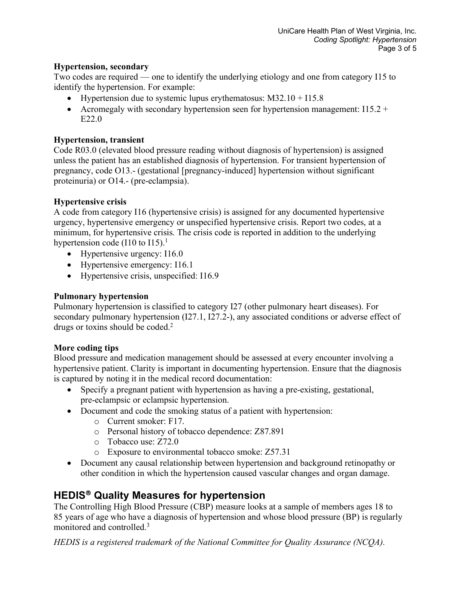## **Hypertension, secondary**

Two codes are required — one to identify the underlying etiology and one from category I15 to identify the hypertension. For example:

- Hypertension due to systemic lupus erythematosus:  $M32.10 + I15.8$
- Acromegaly with secondary hypertension seen for hypertension management:  $I15.2 +$ E22.0

# **Hypertension, transient**

Code R03.0 (elevated blood pressure reading without diagnosis of hypertension) is assigned unless the patient has an established diagnosis of hypertension. For transient hypertension of pregnancy, code O13.- (gestational [pregnancy-induced] hypertension without significant proteinuria) or O14.- (pre-eclampsia).

# **Hypertensive crisis**

A code from category I16 (hypertensive crisis) is assigned for any documented hypertensive urgency, hypertensive emergency or unspecified hypertensive crisis. Report two codes, at a minimum, for hypertensive crisis. The crisis code is reported in addition to the underlying hypertension code (I10 to I15).<sup>1</sup>

- Hypertensive urgency: I16.0
- Hypertensive emergency: 116.1
- Hypertensive crisis, unspecified: I16.9

# **Pulmonary hypertension**

Pulmonary hypertension is classified to category I27 (other pulmonary heart diseases). For secondary pulmonary hypertension (I27.1, I27.2-), any associated conditions or adverse effect of drugs or toxins should be coded.<sup>2</sup>

# **More coding tips**

Blood pressure and medication management should be assessed at every encounter involving a hypertensive patient. Clarity is important in documenting hypertension. Ensure that the diagnosis is captured by noting it in the medical record documentation:

- Specify a pregnant patient with hypertension as having a pre-existing, gestational, pre-eclampsic or eclampsic hypertension.
- Document and code the smoking status of a patient with hypertension:
	- o Current smoker: F17.
	- o Personal history of tobacco dependence: Z87.891
	- o Tobacco use: Z72.0
	- o Exposure to environmental tobacco smoke: Z57.31
- Document any causal relationship between hypertension and background retinopathy or other condition in which the hypertension caused vascular changes and organ damage.

# **HEDIS**<sup>â</sup> **Quality Measures for hypertension**

The Controlling High Blood Pressure (CBP) measure looks at a sample of members ages 18 to 85 years of age who have a diagnosis of hypertension and whose blood pressure (BP) is regularly monitored and controlled.3

*HEDIS is a registered trademark of the National Committee for Quality Assurance (NCQA).*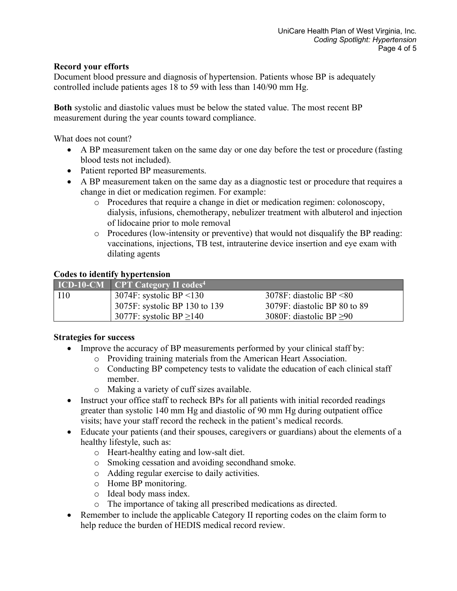## **Record your efforts**

Document blood pressure and diagnosis of hypertension. Patients whose BP is adequately controlled include patients ages 18 to 59 with less than 140/90 mm Hg.

**Both** systolic and diastolic values must be below the stated value. The most recent BP measurement during the year counts toward compliance.

What does not count?

- A BP measurement taken on the same day or one day before the test or procedure (fasting blood tests not included).
- Patient reported BP measurements.
- A BP measurement taken on the same day as a diagnostic test or procedure that requires a change in diet or medication regimen. For example:
	- o Procedures that require a change in diet or medication regimen: colonoscopy, dialysis, infusions, chemotherapy, nebulizer treatment with albuterol and injection of lidocaine prior to mole removal
	- $\circ$  Procedures (low-intensity or preventive) that would not disqualify the BP reading: vaccinations, injections, TB test, intrauterine device insertion and eye exam with dilating agents

## **Codes to identify hypertension**

|             | $ICD-10-CM$ CPT Category II codes <sup>4</sup> |                               |
|-------------|------------------------------------------------|-------------------------------|
| <b>I</b> 10 | $3074$ F: systolic BP <130                     | $3078F$ : diastolic BP <80    |
|             | 3075F: systolic BP 130 to 139                  | 3079F: diastolic BP 80 to 89  |
|             | 3077F: systolic BP $\geq$ 140                  | 3080F: diastolic BP $\geq 90$ |

## **Strategies for success**

- Improve the accuracy of BP measurements performed by your clinical staff by:
	- o Providing training materials from the American Heart Association.
	- o Conducting BP competency tests to validate the education of each clinical staff member.
	- o Making a variety of cuff sizes available.
- Instruct your office staff to recheck BPs for all patients with initial recorded readings greater than systolic 140 mm Hg and diastolic of 90 mm Hg during outpatient office visits; have your staff record the recheck in the patient's medical records.
- Educate your patients (and their spouses, caregivers or guardians) about the elements of a healthy lifestyle, such as:
	- o Heart-healthy eating and low-salt diet.
	- o Smoking cessation and avoiding secondhand smoke.
	- o Adding regular exercise to daily activities.
	- o Home BP monitoring.
	- o Ideal body mass index.
	- o The importance of taking all prescribed medications as directed.
- Remember to include the applicable Category II reporting codes on the claim form to help reduce the burden of HEDIS medical record review.